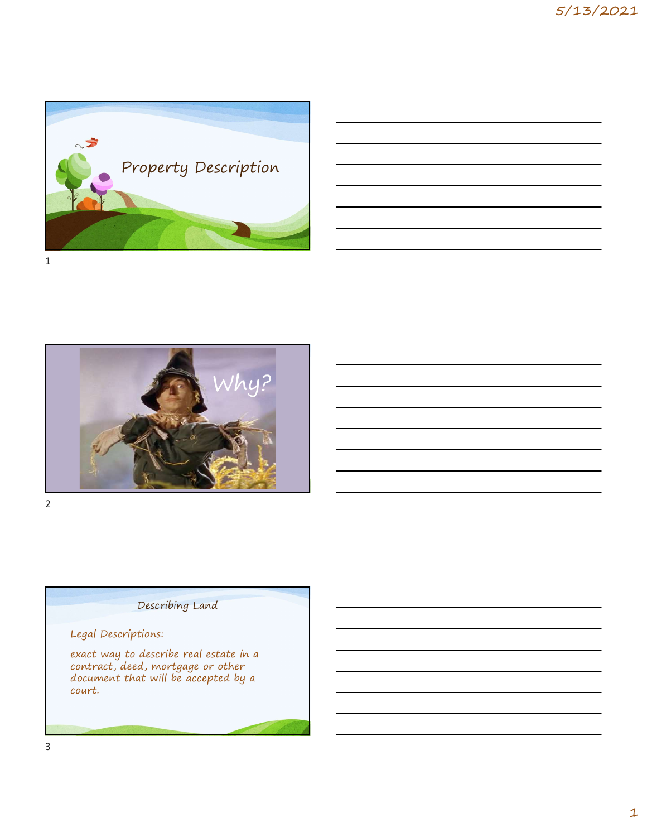



# Describing Land

# Legal Descriptions:

exact way to describe real estate in a contract, deed, mortgage or other document that will be accepted by a court.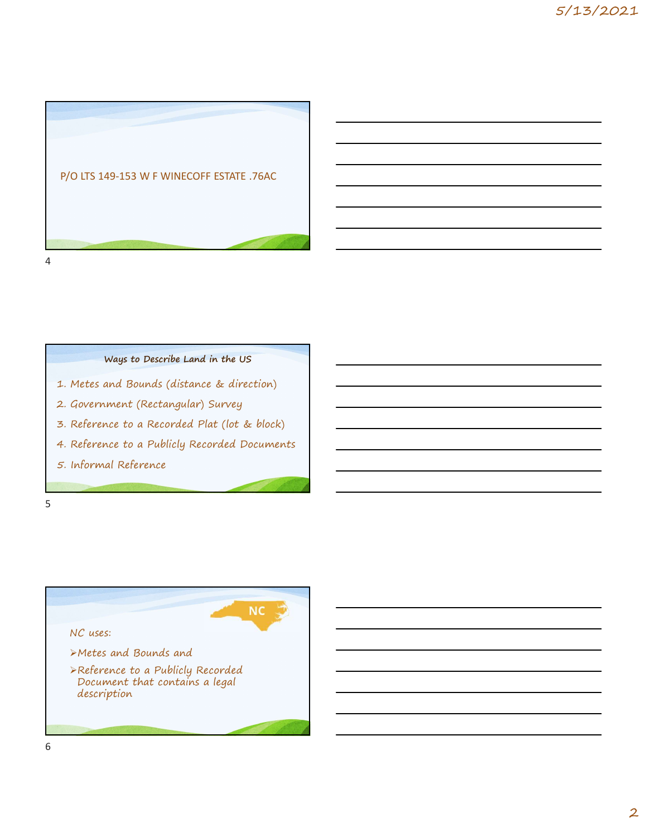



# Ways to Describe Land in the US

- 1. Metes and Bounds (distance & direction)
- 2. Government (Rectangular) Survey
- 
- 
- 

### $5<sub>5</sub>$

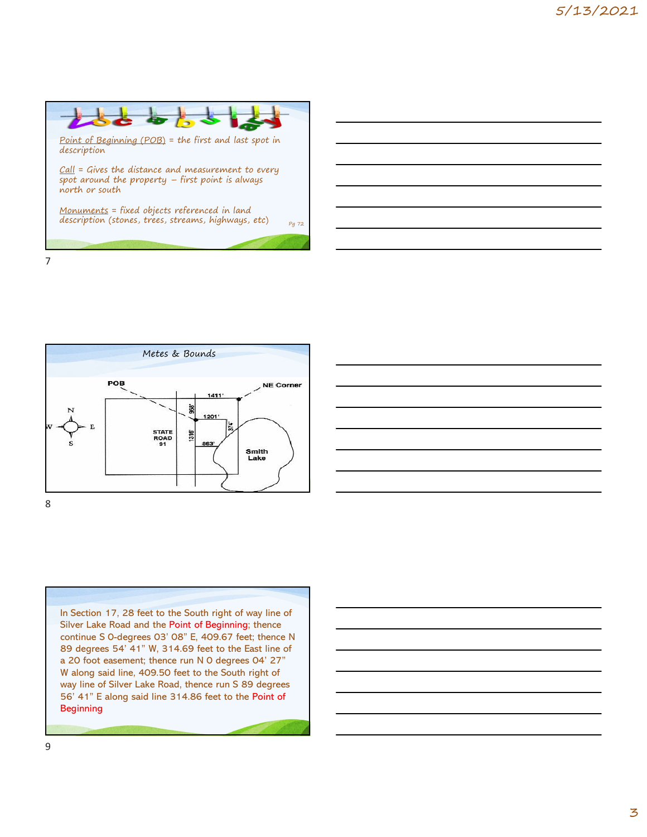

7





In Section 17, 28 feet to the South right of way line of Silver Lake Road and the Point of Beginning; thence continue S 0-degrees 03' 08" E, 409.67 feet; thence N 89 degrees 54' 41" W, 314.69 feet to the East line of a 20 foot easement; thence run N 0 degrees 04' 27" W along said line, 409.50 feet to the South right of way line of Silver Lake Road, thence run S 89 degrees 56' 41" E along said line 314.86 feet to the Point of **Beginning** 

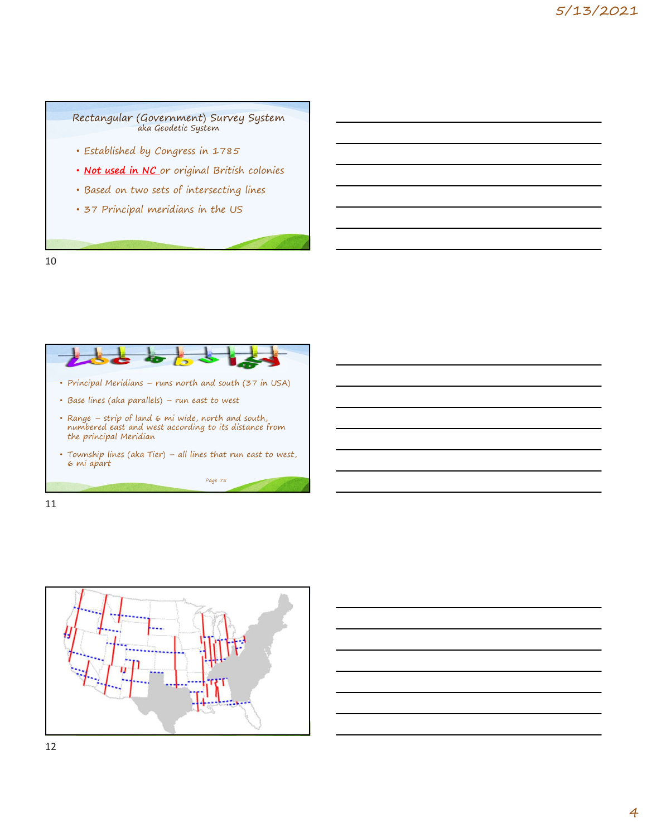

10



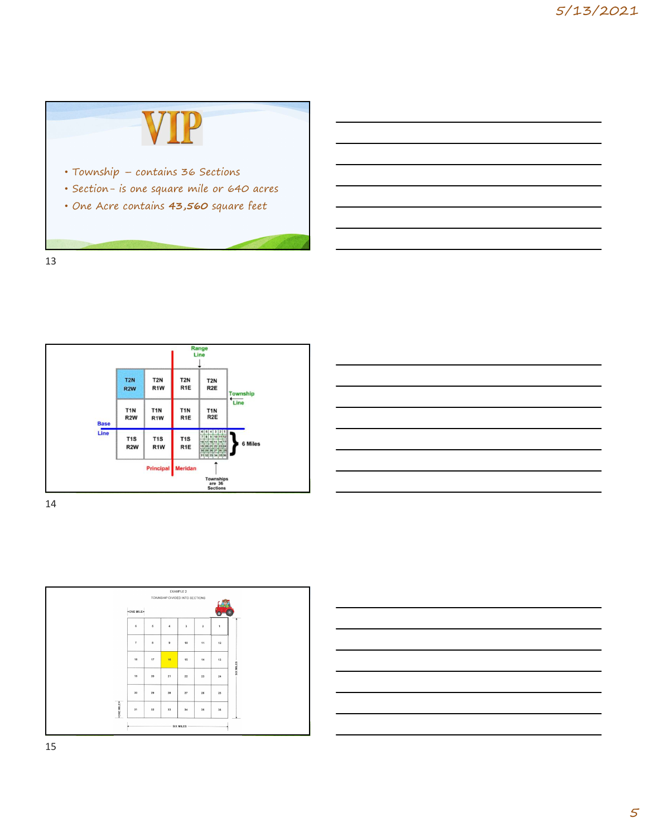









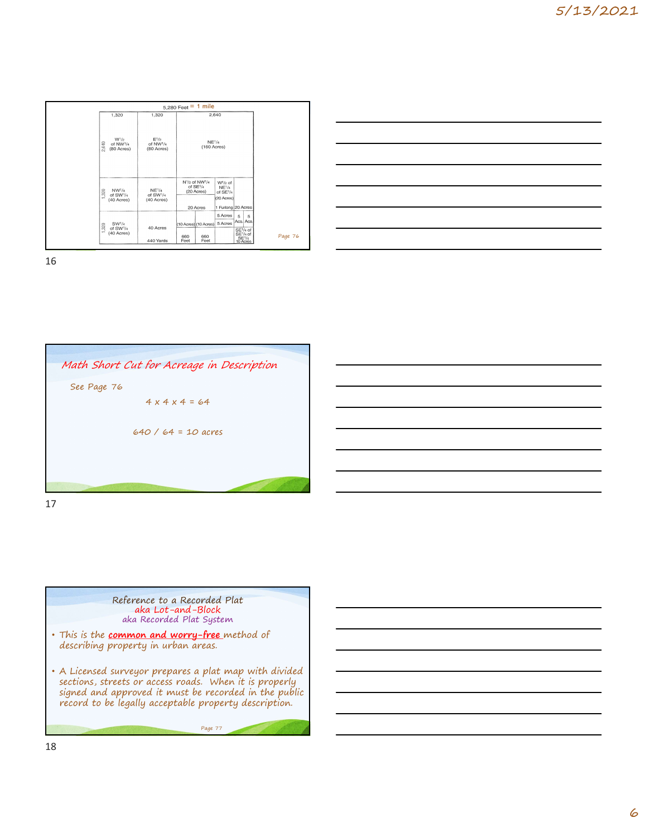|                                         | 5,280 Feet = $1$ mile          |                                                                   |                                |                                                                                               |         |  |
|-----------------------------------------|--------------------------------|-------------------------------------------------------------------|--------------------------------|-----------------------------------------------------------------------------------------------|---------|--|
| 1,320                                   | 1,320                          | 2,640                                                             |                                |                                                                                               |         |  |
| W <sup>1</sup> /2<br>2,640<br>of NW1/4  | $E^{1/2}$<br>of NW1/4          |                                                                   | NE <sup>1</sup> /4             |                                                                                               |         |  |
| (80 Acres)                              | (80 Acres)                     |                                                                   | (160 Acres)                    |                                                                                               |         |  |
|                                         |                                | N <sup>1</sup> / <sub>2</sub> of NW <sup>1</sup> /4<br>of $SE1/4$ | $W1/2$ of                      |                                                                                               |         |  |
| NW <sup>1</sup> /4<br>1,320<br>of SW1/4 | NE <sup>1</sup> /4<br>of SW1/4 | (20 Acres)                                                        | NE <sup>1</sup> /4<br>of SE1/4 |                                                                                               |         |  |
| (40 Acres)                              | (40 Acres)                     | 20 Acres                                                          | (20 Acres)                     | 1 Furlong 20 Acres                                                                            |         |  |
|                                         |                                |                                                                   | 5 Acres                        | 5<br>5                                                                                        |         |  |
| SW <sup>1</sup> /4<br>1,320<br>of SW1/4 | 40 Acres                       | (10 Acres) (10 Acres)                                             | 5 Acres                        | Acs. Acs.                                                                                     |         |  |
| (40 Acres)                              | 440 Yards                      | 660<br>Feet                                                       | 660<br>Feet                    | SE <sup>1</sup> / <sub>4</sub> of<br>SE <sup>1</sup> / <sub>4</sub> of<br>$SE1/4$<br>10 Acres | Page 76 |  |

| Page 76 |  |
|---------|--|



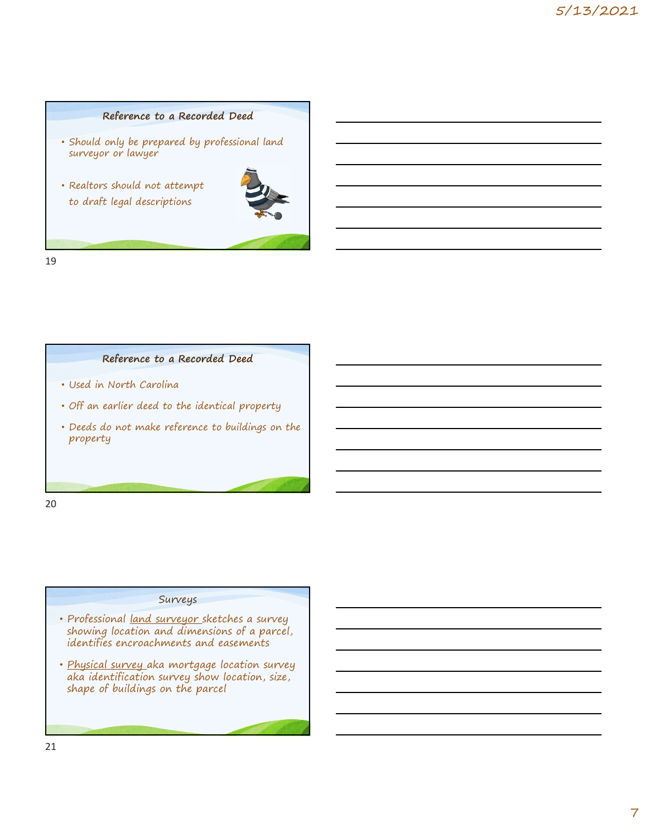# Reference to a Recorded Deed

- Should only be prepared by professional land surveyor or lawyer
- Realtors should not attempt to draft legal descriptions



19

# Reference to a Recorded Deed

- Used in North Carolina
- Off an earlier deed to the identical property
- Deeds do not make reference to buildings on the property

20

## Surveys

- Professional land surveyor sketches a survey showing location and dimensions of a parcel, identifies encroachments and easements
- Physical survey aka mortgage location survey aka identification survey show location, size, shape of buildings on the parcel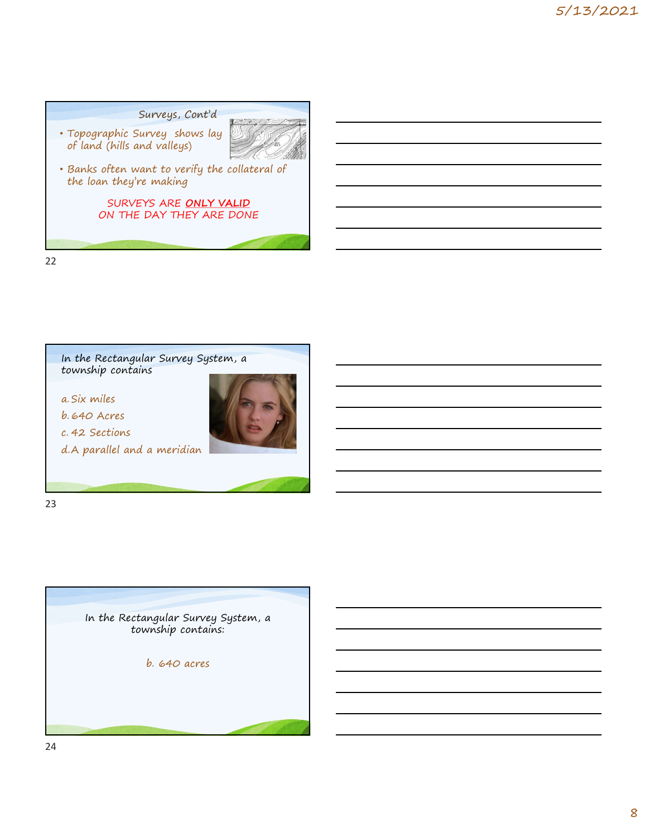# Surveys, Cont'd • Topographic Survey shows lay which is a substitute of the source of the source of the source of the source o of land (hills and valleys) • Banks often want to verify the collateral of the loan they're making SURVEYS ARE ONLY VALID ON THE DAY THEY ARE DONE Panks often want to verify the collateral of<br>the loan they're making<br>SURVEYS ARE ONLY VALID<br>ON THE DAY THEY ARE DONE<br>In the Rectangular Survey System, a<br>a. Six miles<br>a. Six miles<br>b. 640 Acres<br>c. 42 Sections<br>d. A parallel a b. 640 Acres<br>
Action Control on THE DAY THEY ARE DONE<br>
ON THE DAY THEY ARE DONE<br>
ON THE DAY THEY ARE DONE<br>
<br>
In the Rectangular Survey System, a<br>
a. Six miles<br>
b. 640 Acres<br>
c. 42 Sections<br>
d.A parallel and a meridian SURVEYS ARE ONLY VALID<br>
ON THE DAY THEY ARE DONE<br>
In the Rectangular Survey System, a<br>
a. Six miles<br>
b. 640 Acres<br>
c. 42 Sections<br>
d.A parallel and a meridian

22





23

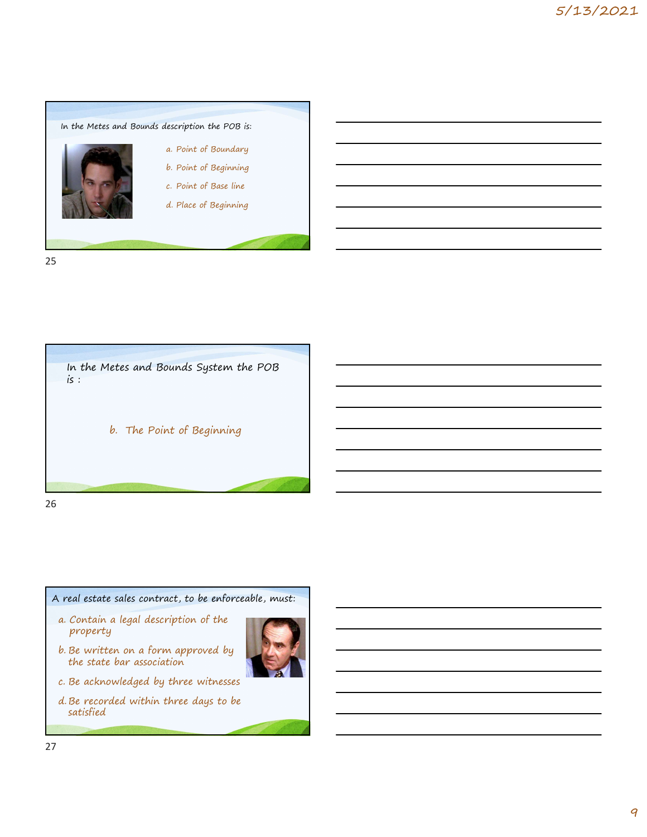







property



- 
- 
- satisfied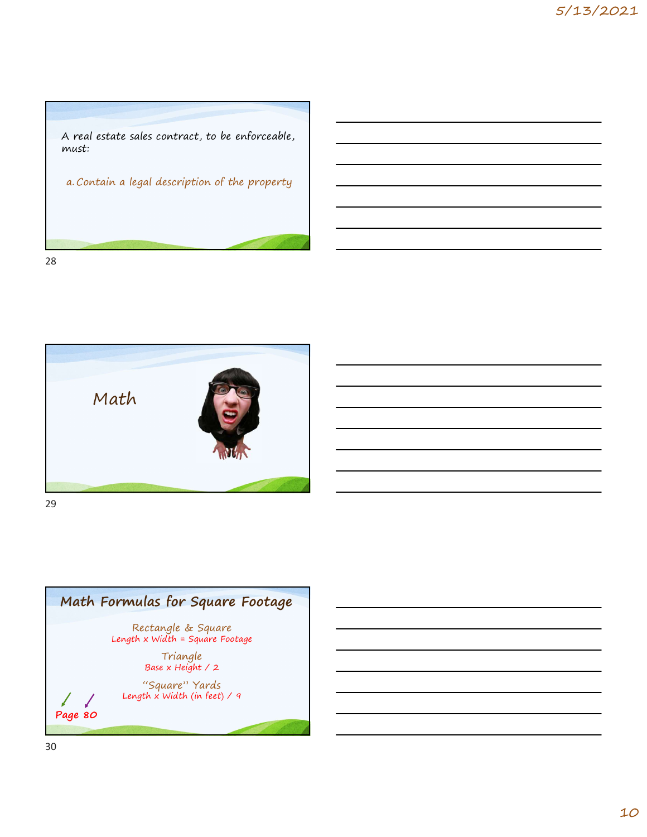